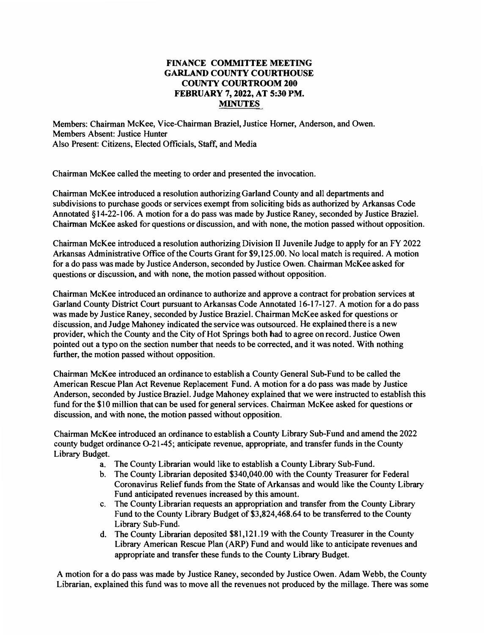## **FINANCE COMMITTEE MEETING GARLAND COUNTY COURTHOUSE COUNTY COURTROOM 200 FEBRUARY 7, 2022, AT 5:30 PM. MINUTES**

**Members: Chairman McKee, Vice-Chairman Braziel,Justice Horner, Anderson, and Owen. Members Absent: Justice Hunter Also Present: Citizens, Elected Officials, Staff, and Media**

**Chairman McKee called the meeting to order and presented the invocation.**

**Chairman McKee introduced a resolution authorizingGarland County and all departments and subdivisions to purchase goods or services exempt from soliciting bids as authorized by Arkansas Code Annotated §14-22-106. A motion for a do pass was made by Justice Raney, seconded by Justice Braziel. Chairman McKee asked for questions or discussion, and with none, the motion passed without opposition.**

**Chairman McKee introduced a resolution authorizing Division II Juvenile Judge to apply for an FY 2022 Arkansas Administrative Office ofthe Courts Grant for \$9,125.00. No local match is required. A motion for a do pass wasmade by JusticeAnderson, seconded by Justice Owen. Chairman McKee asked for questions or discussion, and with none, the motion passed without opposition.**

**Chairman McKee introduced an ordinance to authorize and approve a contract for probation services at Garland County District Court pursuant to Arkansas Code Annotated 16-17-127. A motion for a do pass was made by Justice Raney, seconded by Justice Braziel. Chairman McKee asked for questions or discussion, and Judge Mahoney indicated the servicewas outsourced. He explained there is a new provider, which the County and the City of Hot Springs both had to agree on record. Justice Owen pointed out a typo on the section number that needs to be corrected, and it was noted. With nothing further, the motion passed without opposition.**

**Chairman McKee introduced an ordinance to establish a County General Sub-Fund to be called the American Rescue Plan Act Revenue Replacement Fund. A motion for a do pass was made by Justice Anderson, seconded by Justice Braziel.Judge Mahoney explained that we were instructed to establish this fund for the \$10 million thatcan be used for general services. Chairman McKee asked for questions or discussion, and with none, the motion passed without opposition.**

**Chairman McKee introduced an ordinance to establish a County Library Sub-Fund and amend the 2022 county budget ordinance 0-21-45; anticipate revenue, appropriate, and transfer funds in the County Library Budget.**

- **a. The County Librarian would like to establish a County Library Sub-Fund.**
- **b. The County Librarian deposited \$340,040.00 with the County Treasurer for Federal Coronavirus Relief funds from the State of Arkansas and would like the County Library Fund anticipated revenues increased by this amount.**
- **c. The County Librarian requests an appropriation and transfer from the County Library Fund to the County Library Budget of \$3,824,468.64 to be transferred to the County Library Sub-Fund.**
- **d. The County Librarian deposited \$81,121.19 with the County Treasurer in the County Library American Rescue Plan (ARP) Fund and would like to anticipate revenues and appropriate and transfer these funds to the County Library Budget.**

**A motion for a do pass was made by Justice Raney, seconded by Justice Owen. Adam Webb, the County Librarian, explained this fund was to move all the revenues not produced by the millage. There was some**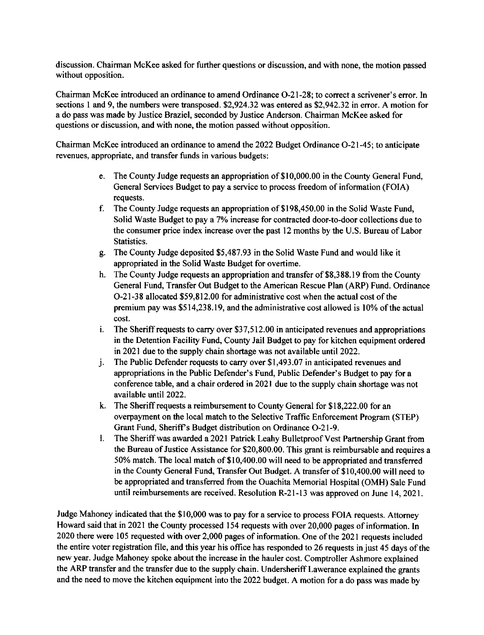discussion. Chairman McKee asked for further questions or discussion, and with none, the motion passed without opposition.

Chairman McKee introduced an ordinance to amend Ordinance O-21-28; to correct a scrivener's error. In sections 1 and 9, the numbers were transposed. \$2,924.32 was entered as \$2,942.32 in error. A motion for a do pass was made by Justice Braziel, seconded by Justice Anderson. Chairman McKee asked for questions or discussion, and with none, the motion passed without opposition.

Chairman McKee introduced an ordinance to amend the 2022 Budget Ordinance O-21-45; to anticipate revenues, appropriate, and transfer funds in various budgets:

- e. The County Judge requests an appropriation of \$10,000.00 in the County General Fund. General Services Budget to pay a service to process freedom of information (FOIA) requests.
- f. The County Judge requests an appropriation of \$198,450.00 in the Solid Waste Fund, Solid Waste Budget to pay a 7% increase for contracted door-to-door collections due to the consumer price index increase over the past 12 months by the U.S. Bureau of Labor Statistics.
- g. The County Judge deposited \$5,487.93 in the Solid Waste Fund and would like it appropriated in the Solid Waste Budget for overtime.
- h. The County Judge requests an appropriation and transfer of \$8,388.19 from the County General Fund, Transfer Out Budget to the American Rescue Plan (ARP) Fund. Ordinance O-21-38 allocated \$59,812.00 for administrative cost when the actual cost of the premium pay was \$514,238.19, and the administrative cost allowed is 10% of the actual cost.
- The Sheriff requests to carry over \$37,512.00 in anticipated revenues and appropriations  $\mathbf{i}$ . in the Detention Facility Fund, County Jail Budget to pay for kitchen equipment ordered in 2021 due to the supply chain shortage was not available until 2022.
- The Public Defender requests to carry over \$1,493.07 in anticipated revenues and j. appropriations in the Public Defender's Fund, Public Defender's Budget to pay for a conference table, and a chair ordered in 2021 due to the supply chain shortage was not available until 2022.
- k. The Sheriff requests a reimbursement to County General for \$18,222.00 for an overpayment on the local match to the Selective Traffic Enforcement Program (STEP) Grant Fund, Sheriff's Budget distribution on Ordinance O-21-9.
- 1. The Sheriff was awarded a 2021 Patrick Leahy Bulletproof Vest Partnership Grant from the Bureau of Justice Assistance for \$20,800.00. This grant is reimbursable and requires a 50% match. The local match of \$10,400.00 will need to be appropriated and transferred in the County General Fund, Transfer Out Budget. A transfer of \$10,400.00 will need to be appropriated and transferred from the Ouachita Memorial Hospital (OMH) Sale Fund until reimbursements are received. Resolution R-21-13 was approved on June 14, 2021.

Judge Mahoney indicated that the \$10,000 was to pay for a service to process FOIA requests. Attorney Howard said that in 2021 the County processed 154 requests with over 20,000 pages of information. In 2020 there were 105 requested with over 2,000 pages of information. One of the 2021 requests included the entire voter registration file, and this year his office has responded to 26 requests in just 45 days of the new year. Judge Mahoney spoke about the increase in the hauler cost. Comptroller Ashmore explained the ARP transfer and the transfer due to the supply chain. Undersheriff Lawerance explained the grants and the need to move the kitchen equipment into the 2022 budget. A motion for a do pass was made by